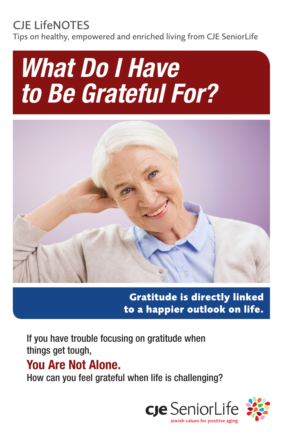## CJE LifeNOTES

Tips on healthy, empowered and enriched living from CJE SeniorLife

# *What Do I Have to Be Grateful For?*



**Gratitude is directly linked to a happier outlook on life.**

If you have trouble focusing on gratitude when things get tough,

## You Are Not Alone.

How can you feel grateful when life is challenging?

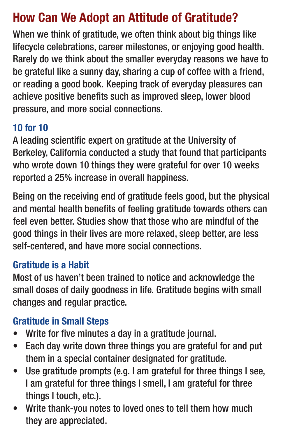## How Can We Adopt an Attitude of Gratitude?

When we think of gratitude, we often think about big things like lifecycle celebrations, career milestones, or enjoying good health. Rarely do we think about the smaller everyday reasons we have to be grateful like a sunny day, sharing a cup of coffee with a friend, or reading a good book. Keeping track of everyday pleasures can achieve positive benefits such as improved sleep, lower blood pressure, and more social connections.

#### 10 for 10

A leading scientific expert on gratitude at the University of Berkeley, California conducted a study that found that participants who wrote down 10 things they were grateful for over 10 weeks reported a 25% increase in overall happiness.

Being on the receiving end of gratitude feels good, but the physical and mental health benefits of feeling gratitude towards others can feel even better. Studies show that those who are mindful of the good things in their lives are more relaxed, sleep better, are less self-centered, and have more social connections.

#### Gratitude is a Habit

Most of us haven't been trained to notice and acknowledge the small doses of daily goodness in life. Gratitude begins with small changes and regular practice.

#### Gratitude in Small Steps

- Write for five minutes a day in a gratitude journal.
- Each day write down three things you are grateful for and put them in a special container designated for gratitude.
- Use gratitude prompts (e.g. I am grateful for three things I see, I am grateful for three things I smell, I am grateful for three things I touch, etc.).
- Write thank-you notes to loved ones to tell them how much they are appreciated.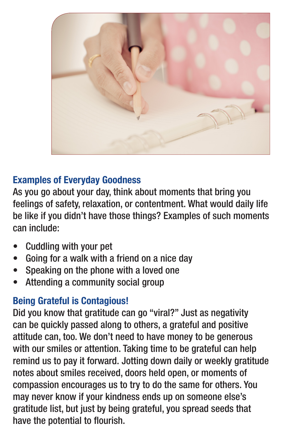

#### Examples of Everyday Goodness

As you go about your day, think about moments that bring you feelings of safety, relaxation, or contentment. What would daily life be like if you didn't have those things? Examples of such moments can include:

- Cuddling with your pet
- Going for a walk with a friend on a nice day
- Speaking on the phone with a loved one
- Attending a community social group

#### Being Grateful is Contagious!

Did you know that gratitude can go "viral?" Just as negativity can be quickly passed along to others, a grateful and positive attitude can, too. We don't need to have money to be generous with our smiles or attention. Taking time to be grateful can help remind us to pay it forward. Jotting down daily or weekly gratitude notes about smiles received, doors held open, or moments of compassion encourages us to try to do the same for others. You may never know if your kindness ends up on someone else's gratitude list, but just by being grateful, you spread seeds that have the potential to flourish.